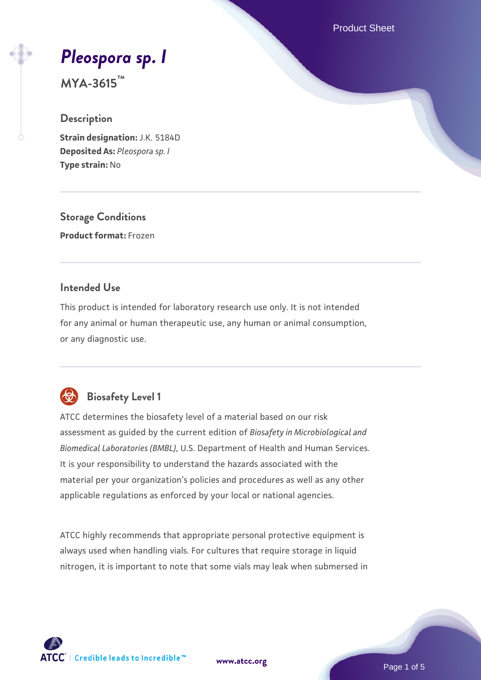Product Sheet

# *[Pleospora sp. I](https://www.atcc.org/products/mya-3615)*

**MYA-3615™**

#### **Description**

**Strain designation:** J.K. 5184D **Deposited As:** *Pleospora sp. I* **Type strain:** No

**Storage Conditions Product format:** Frozen

#### **Intended Use**

This product is intended for laboratory research use only. It is not intended for any animal or human therapeutic use, any human or animal consumption, or any diagnostic use.



# **Biosafety Level 1**

ATCC determines the biosafety level of a material based on our risk assessment as guided by the current edition of *Biosafety in Microbiological and Biomedical Laboratories (BMBL)*, U.S. Department of Health and Human Services. It is your responsibility to understand the hazards associated with the material per your organization's policies and procedures as well as any other applicable regulations as enforced by your local or national agencies.

ATCC highly recommends that appropriate personal protective equipment is always used when handling vials. For cultures that require storage in liquid nitrogen, it is important to note that some vials may leak when submersed in

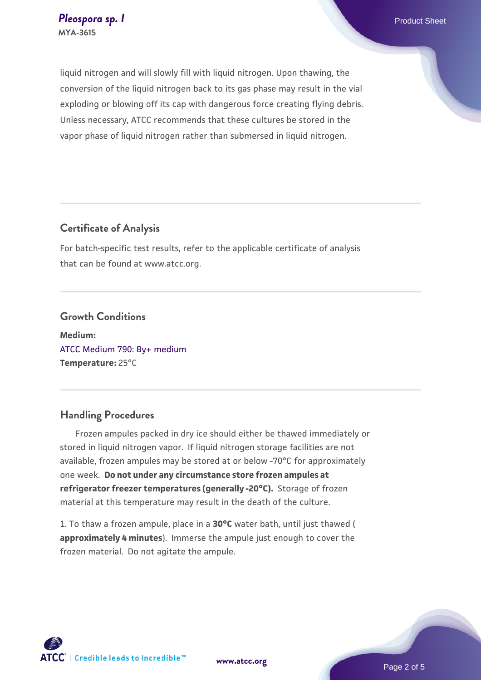liquid nitrogen and will slowly fill with liquid nitrogen. Upon thawing, the conversion of the liquid nitrogen back to its gas phase may result in the vial exploding or blowing off its cap with dangerous force creating flying debris. Unless necessary, ATCC recommends that these cultures be stored in the vapor phase of liquid nitrogen rather than submersed in liquid nitrogen.

#### **Certificate of Analysis**

For batch-specific test results, refer to the applicable certificate of analysis that can be found at www.atcc.org.

#### **Growth Conditions**

**Medium:**  [ATCC Medium 790: By+ medium](https://www.atcc.org/-/media/product-assets/documents/microbial-media-formulations/7/9/0/atcc-medium-790.pdf?rev=16bd8c73853840ee9a63d6a1f4589a74) **Temperature:** 25°C

#### **Handling Procedures**

 Frozen ampules packed in dry ice should either be thawed immediately or stored in liquid nitrogen vapor. If liquid nitrogen storage facilities are not available, frozen ampules may be stored at or below -70°C for approximately one week. **Do not under any circumstance store frozen ampules at refrigerator freezer temperatures (generally -20°C).** Storage of frozen material at this temperature may result in the death of the culture.

1. To thaw a frozen ampule, place in a **30°C** water bath, until just thawed ( **approximately 4 minutes**). Immerse the ampule just enough to cover the frozen material. Do not agitate the ampule.

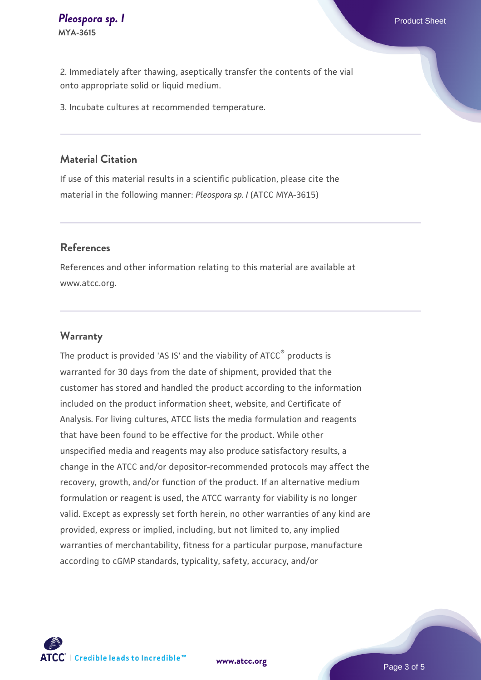2. Immediately after thawing, aseptically transfer the contents of the vial onto appropriate solid or liquid medium.

3. Incubate cultures at recommended temperature.

#### **Material Citation**

If use of this material results in a scientific publication, please cite the material in the following manner: *Pleospora sp. I* (ATCC MYA-3615)

#### **References**

References and other information relating to this material are available at www.atcc.org.

#### **Warranty**

The product is provided 'AS IS' and the viability of ATCC<sup>®</sup> products is warranted for 30 days from the date of shipment, provided that the customer has stored and handled the product according to the information included on the product information sheet, website, and Certificate of Analysis. For living cultures, ATCC lists the media formulation and reagents that have been found to be effective for the product. While other unspecified media and reagents may also produce satisfactory results, a change in the ATCC and/or depositor-recommended protocols may affect the recovery, growth, and/or function of the product. If an alternative medium formulation or reagent is used, the ATCC warranty for viability is no longer valid. Except as expressly set forth herein, no other warranties of any kind are provided, express or implied, including, but not limited to, any implied warranties of merchantability, fitness for a particular purpose, manufacture according to cGMP standards, typicality, safety, accuracy, and/or

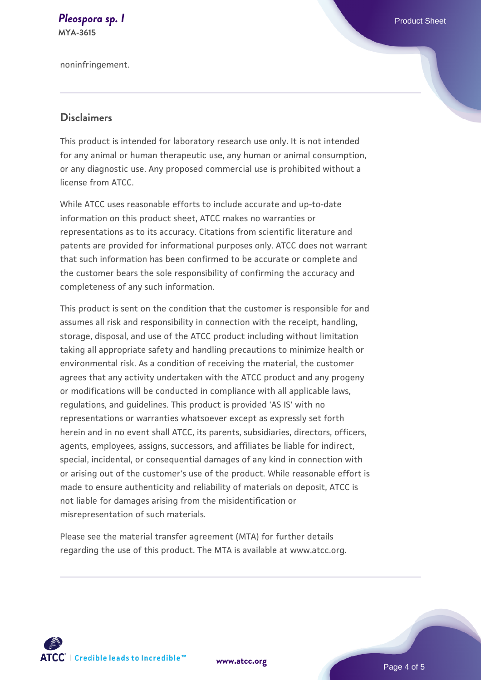#### **[Pleospora sp. I](https://www.atcc.org/products/mya-3615)** Product Sheet **MYA-3615**

noninfringement.

#### **Disclaimers**

This product is intended for laboratory research use only. It is not intended for any animal or human therapeutic use, any human or animal consumption, or any diagnostic use. Any proposed commercial use is prohibited without a license from ATCC.

While ATCC uses reasonable efforts to include accurate and up-to-date information on this product sheet, ATCC makes no warranties or representations as to its accuracy. Citations from scientific literature and patents are provided for informational purposes only. ATCC does not warrant that such information has been confirmed to be accurate or complete and the customer bears the sole responsibility of confirming the accuracy and completeness of any such information.

This product is sent on the condition that the customer is responsible for and assumes all risk and responsibility in connection with the receipt, handling, storage, disposal, and use of the ATCC product including without limitation taking all appropriate safety and handling precautions to minimize health or environmental risk. As a condition of receiving the material, the customer agrees that any activity undertaken with the ATCC product and any progeny or modifications will be conducted in compliance with all applicable laws, regulations, and guidelines. This product is provided 'AS IS' with no representations or warranties whatsoever except as expressly set forth herein and in no event shall ATCC, its parents, subsidiaries, directors, officers, agents, employees, assigns, successors, and affiliates be liable for indirect, special, incidental, or consequential damages of any kind in connection with or arising out of the customer's use of the product. While reasonable effort is made to ensure authenticity and reliability of materials on deposit, ATCC is not liable for damages arising from the misidentification or misrepresentation of such materials.

Please see the material transfer agreement (MTA) for further details regarding the use of this product. The MTA is available at www.atcc.org.



**[www.atcc.org](http://www.atcc.org)**

Page 4 of 5